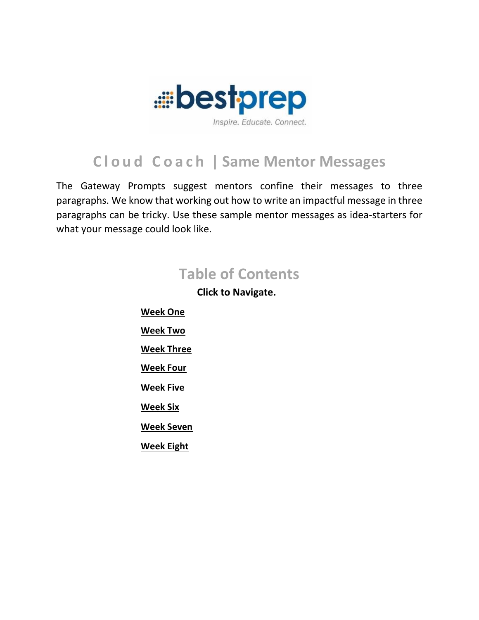

# **C l o u d C o a c h | Same Mentor Messages**

The Gateway Prompts suggest mentors confine their messages to three paragraphs. We know that working out how to write an impactful message in three paragraphs can be tricky. Use these sample mentor messages as idea-starters for what your message could look like.

# **Table of Contents**

**Click to Navigate.**

<span id="page-0-0"></span>**[Week One](#page-0-0) [Week Two](#page-2-0) [Week Three](#page-3-0) [Week Four](#page-4-0) [Week Five](#page-5-0) [Week Six](#page-6-0) [Week Seven](#page-7-0) [Week Eight](#page-8-0)**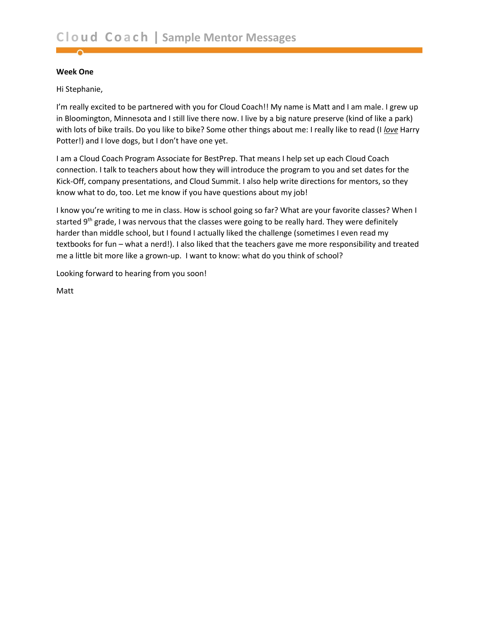#### **Week One**

Hi Stephanie,

I'm really excited to be partnered with you for Cloud Coach!! My name is Matt and I am male. I grew up in Bloomington, Minnesota and I still live there now. I live by a big nature preserve (kind of like a park) with lots of bike trails. Do you like to bike? Some other things about me: I really like to read (I *love* Harry Potter!) and I love dogs, but I don't have one yet.

I am a Cloud Coach Program Associate for BestPrep. That means I help set up each Cloud Coach connection. I talk to teachers about how they will introduce the program to you and set dates for the Kick-Off, company presentations, and Cloud Summit. I also help write directions for mentors, so they know what to do, too. Let me know if you have questions about my job!

I know you're writing to me in class. How is school going so far? What are your favorite classes? When I started 9<sup>th</sup> grade, I was nervous that the classes were going to be really hard. They were definitely harder than middle school, but I found I actually liked the challenge (sometimes I even read my textbooks for fun – what a nerd!). I also liked that the teachers gave me more responsibility and treated me a little bit more like a grown-up. I want to know: what do you think of school?

Looking forward to hearing from you soon!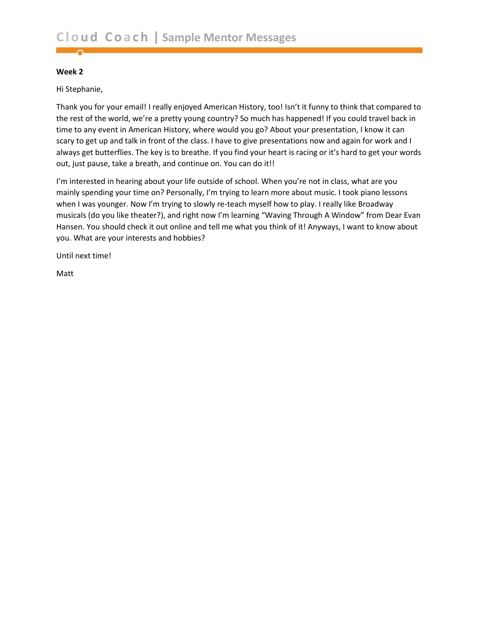<span id="page-2-0"></span>Hi Stephanie,

Thank you for your email! I really enjoyed American History, too! Isn't it funny to think that compared to the rest of the world, we're a pretty young country? So much has happened! If you could travel back in time to any event in American History, where would you go? About your presentation, I know it can scary to get up and talk in front of the class. I have to give presentations now and again for work and I always get butterflies. The key is to breathe. If you find your heart is racing or it's hard to get your words out, just pause, take a breath, and continue on. You can do it!!

I'm interested in hearing about your life outside of school. When you're not in class, what are you mainly spending your time on? Personally, I'm trying to learn more about music. I took piano lessons when I was younger. Now I'm trying to slowly re-teach myself how to play. I really like Broadway musicals (do you like theater?), and right now I'm learning "Waving Through A Window" from Dear Evan Hansen. You should check it out online and tell me what you think of it! Anyways, I want to know about you. What are your interests and hobbies?

Until next time!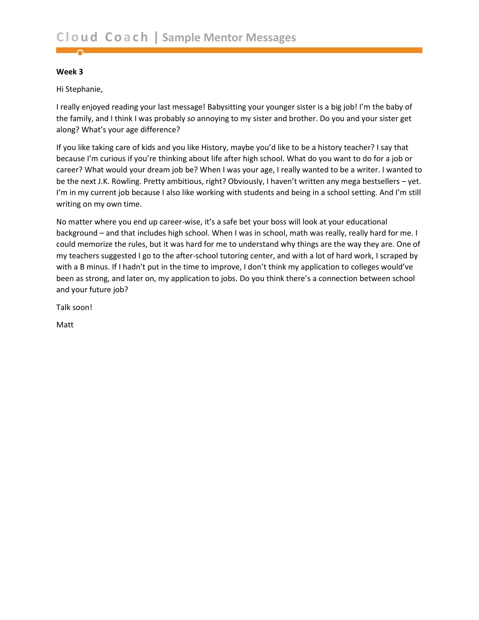<span id="page-3-0"></span>Hi Stephanie,

I really enjoyed reading your last message! Babysitting your younger sister is a big job! I'm the baby of the family, and I think I was probably *so* annoying to my sister and brother. Do you and your sister get along? What's your age difference?

If you like taking care of kids and you like History, maybe you'd like to be a history teacher? I say that because I'm curious if you're thinking about life after high school. What do you want to do for a job or career? What would your dream job be? When I was your age, I really wanted to be a writer. I wanted to be the next J.K. Rowling. Pretty ambitious, right? Obviously, I haven't written any mega bestsellers – yet. I'm in my current job because I also like working with students and being in a school setting. And I'm still writing on my own time.

No matter where you end up career-wise, it's a safe bet your boss will look at your educational background – and that includes high school. When I was in school, math was really, really hard for me. I could memorize the rules, but it was hard for me to understand why things are the way they are. One of my teachers suggested I go to the after-school tutoring center, and with a lot of hard work, I scraped by with a B minus. If I hadn't put in the time to improve, I don't think my application to colleges would've been as strong, and later on, my application to jobs. Do you think there's a connection between school and your future job?

Talk soon!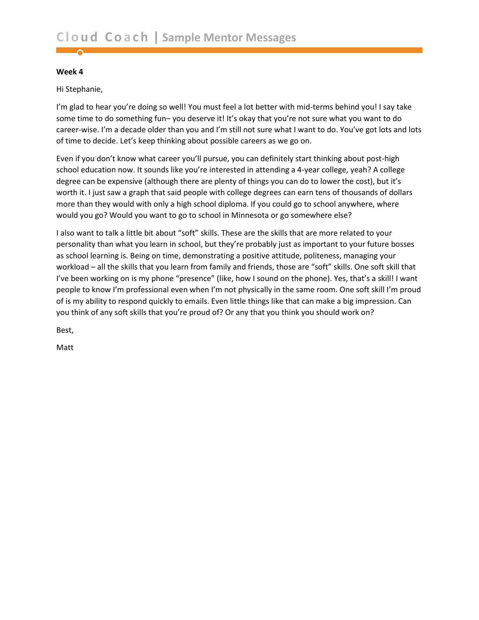<span id="page-4-0"></span>Hi Stephanie,

I'm glad to hear you're doing so well! You must feel a lot better with mid-terms behind you! I say take some time to do something fun– you deserve it! It's okay that you're not sure what you want to do career-wise. I'm a decade older than you and I'm still not sure what I want to do. You've got lots and lots of time to decide. Let's keep thinking about possible careers as we go on.

Even if you don't know what career you'll pursue, you can definitely start thinking about post-high school education now. It sounds like you're interested in attending a 4-year college, yeah? A college degree can be expensive (although there are plenty of things you can do to lower the cost), but it's worth it. I just saw a graph that said people with college degrees can earn tens of thousands of dollars more than they would with only a high school diploma. If you could go to school anywhere, where would you go? Would you want to go to school in Minnesota or go somewhere else?

I also want to talk a little bit about "soft" skills. These are the skills that are more related to your personality than what you learn in school, but they're probably just as important to your future bosses as school learning is. Being on time, demonstrating a positive attitude, politeness, managing your workload – all the skills that you learn from family and friends, those are "soft" skills. One soft skill that I've been working on is my phone "presence" (like, how I sound on the phone). Yes, that's a skill! I want people to know I'm professional even when I'm not physically in the same room. One soft skill I'm proud of is my ability to respond quickly to emails. Even little things like that can make a big impression. Can you think of any soft skills that you're proud of? Or any that you think you should work on?

Best,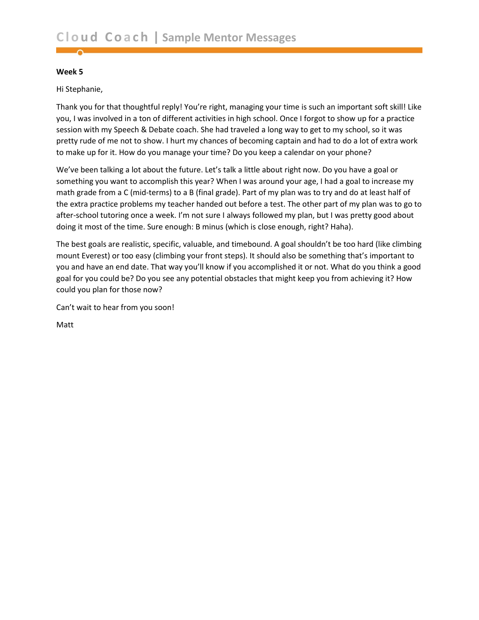<span id="page-5-0"></span>Hi Stephanie,

Thank you for that thoughtful reply! You're right, managing your time is such an important soft skill! Like you, I was involved in a ton of different activities in high school. Once I forgot to show up for a practice session with my Speech & Debate coach. She had traveled a long way to get to my school, so it was pretty rude of me not to show. I hurt my chances of becoming captain and had to do a lot of extra work to make up for it. How do you manage your time? Do you keep a calendar on your phone?

We've been talking a lot about the future. Let's talk a little about right now. Do you have a goal or something you want to accomplish this year? When I was around your age, I had a goal to increase my math grade from a C (mid-terms) to a B (final grade). Part of my plan was to try and do at least half of the extra practice problems my teacher handed out before a test. The other part of my plan was to go to after-school tutoring once a week. I'm not sure I always followed my plan, but I was pretty good about doing it most of the time. Sure enough: B minus (which is close enough, right? Haha).

The best goals are realistic, specific, valuable, and timebound. A goal shouldn't be too hard (like climbing mount Everest) or too easy (climbing your front steps). It should also be something that's important to you and have an end date. That way you'll know if you accomplished it or not. What do you think a good goal for you could be? Do you see any potential obstacles that might keep you from achieving it? How could you plan for those now?

Can't wait to hear from you soon!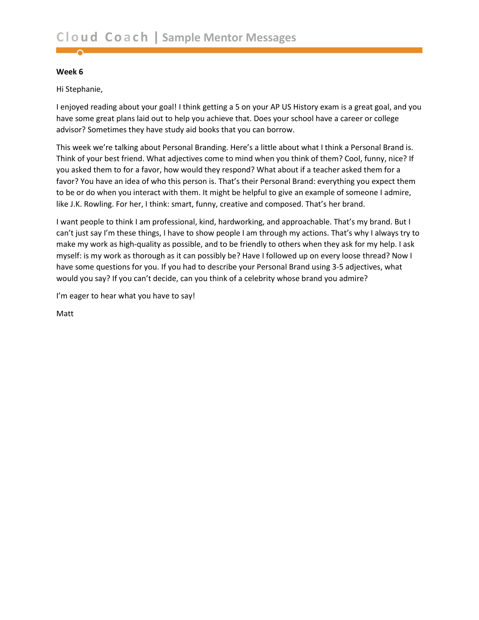<span id="page-6-0"></span>Hi Stephanie,

I enjoyed reading about your goal! I think getting a 5 on your AP US History exam is a great goal, and you have some great plans laid out to help you achieve that. Does your school have a career or college advisor? Sometimes they have study aid books that you can borrow.

This week we're talking about Personal Branding. Here's a little about what I think a Personal Brand is. Think of your best friend. What adjectives come to mind when you think of them? Cool, funny, nice? If you asked them to for a favor, how would they respond? What about if a teacher asked them for a favor? You have an idea of who this person is. That's their Personal Brand: everything you expect them to be or do when you interact with them. It might be helpful to give an example of someone I admire, like J.K. Rowling. For her, I think: smart, funny, creative and composed. That's her brand.

I want people to think I am professional, kind, hardworking, and approachable. That's my brand. But I can't just say I'm these things, I have to show people I am through my actions. That's why I always try to make my work as high-quality as possible, and to be friendly to others when they ask for my help. I ask myself: is my work as thorough as it can possibly be? Have I followed up on every loose thread? Now I have some questions for you. If you had to describe your Personal Brand using 3-5 adjectives, what would you say? If you can't decide, can you think of a celebrity whose brand you admire?

I'm eager to hear what you have to say!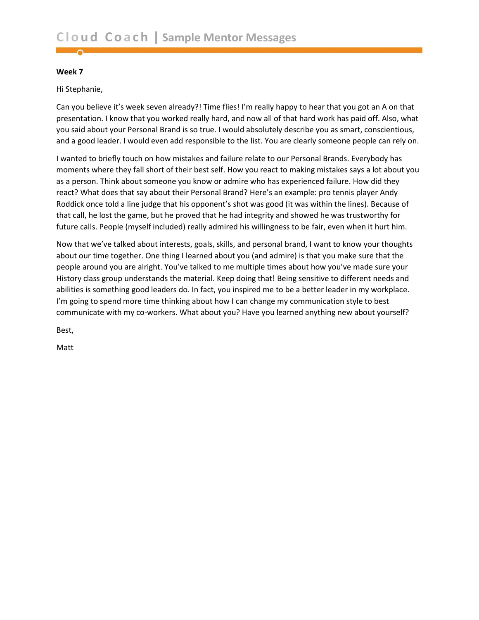<span id="page-7-0"></span>Hi Stephanie,

Can you believe it's week seven already?! Time flies! I'm really happy to hear that you got an A on that presentation. I know that you worked really hard, and now all of that hard work has paid off. Also, what you said about your Personal Brand is so true. I would absolutely describe you as smart, conscientious, and a good leader. I would even add responsible to the list. You are clearly someone people can rely on.

I wanted to briefly touch on how mistakes and failure relate to our Personal Brands. Everybody has moments where they fall short of their best self. How you react to making mistakes says a lot about you as a person. Think about someone you know or admire who has experienced failure. How did they react? What does that say about their Personal Brand? Here's an example: pro tennis player Andy Roddick once told a line judge that his opponent's shot was good (it was within the lines). Because of that call, he lost the game, but he proved that he had integrity and showed he was trustworthy for future calls. People (myself included) really admired his willingness to be fair, even when it hurt him.

Now that we've talked about interests, goals, skills, and personal brand, I want to know your thoughts about our time together. One thing I learned about you (and admire) is that you make sure that the people around you are alright. You've talked to me multiple times about how you've made sure your History class group understands the material. Keep doing that! Being sensitive to different needs and abilities is something good leaders do. In fact, you inspired me to be a better leader in my workplace. I'm going to spend more time thinking about how I can change my communication style to best communicate with my co-workers. What about you? Have you learned anything new about yourself?

Best,